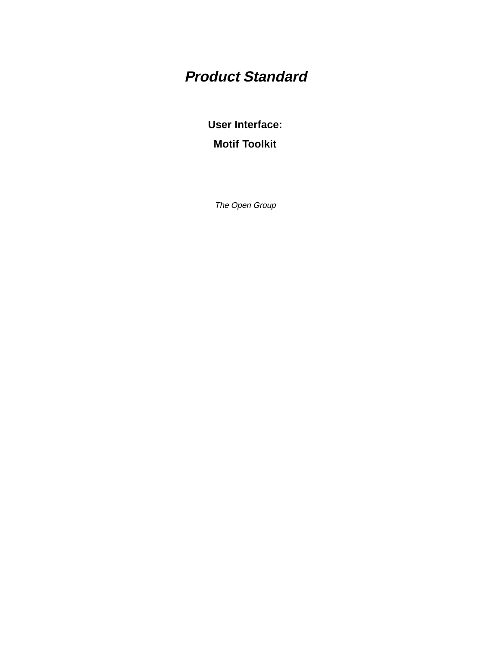# **Product Standard**

**User Interface: Motif Toolkit**

The Open Group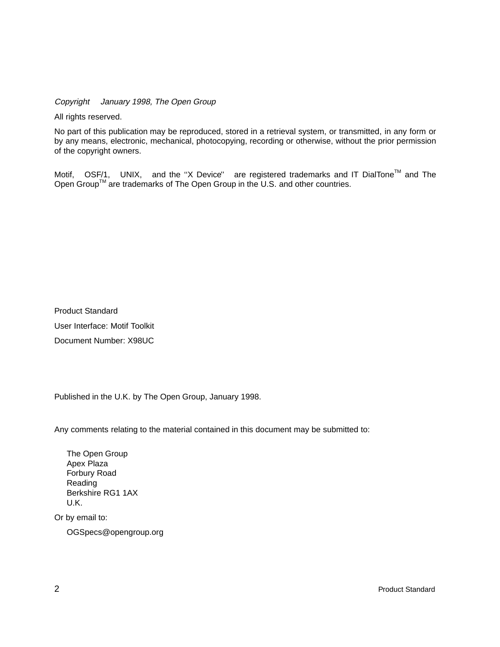Copyright  $\odot$  January 1998, The Open Group

All rights reserved.

No part of this publication may be reproduced, stored in a retrieval system, or transmitted, in any form or by any means, electronic, mechanical, photocopying, recording or otherwise, without the prior permission of the copyright owners.

Motif,  $^{\circledR}$  OSF/1,  $^{\circledR}$  UNIX,  $^{\circledR}$  and the "X Device" $^{\circledR}$  are registered trademarks and IT DialTone<sup>TM</sup> and The Open Group<sup>TM</sup> are trademarks of The Open Group in the U.S. and other countries.

Product Standard User Interface: Motif Toolkit Document Number: X98UC

Published in the U.K. by The Open Group, January 1998.

Any comments relating to the material contained in this document may be submitted to:

The Open Group Apex Plaza Forbury Road Reading Berkshire RG1 1AX U.K.

Or by email to:

OGSpecs@opengroup.org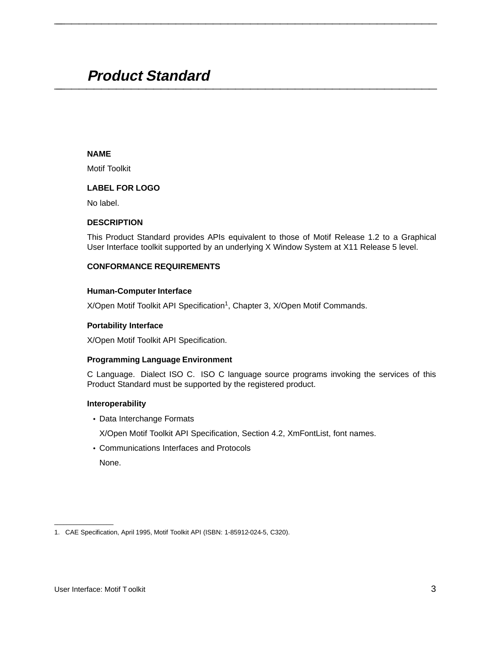# **Product Standard \_\_\_\_\_\_\_\_\_\_\_\_\_\_\_\_\_\_\_\_\_\_\_\_\_\_\_\_\_\_\_\_\_\_\_\_\_\_\_\_\_\_\_\_\_\_\_\_\_\_\_\_**

# **NAME**

Motif Toolkit

# **LABEL FOR LOGO**

No label.

#### **DESCRIPTION**

This Product Standard provides APIs equivalent to those of Motif Release 1.2 to a Graphical User Interface toolkit supported by an underlying X Window System at X11 Release 5 level.

**\_\_\_\_\_\_\_\_\_\_\_\_\_\_\_\_\_\_\_\_\_\_\_\_\_\_\_\_\_\_\_\_\_\_\_\_\_\_\_\_\_\_\_\_\_\_\_\_\_\_\_\_**

# **CONFORMANCE REQUIREMENTS**

#### **Human-Computer Interface**

X/Open Motif Toolkit API Specification<sup>1</sup>, Chapter 3, X/Open Motif Commands.

#### **Portability Interface**

X/Open Motif Toolkit API Specification.

#### **Programming Language Environment**

C Language. Dialect ISO C. ISO C language source programs invoking the services of this Product Standard must be supported by the registered product.

#### **Interoperability**

• Data Interchange Formats

X/Open Motif Toolkit API Specification, Section 4.2, XmFontList, font names.

• Communications Interfaces and Protocols

None.

\_\_\_\_\_\_\_\_\_\_\_\_\_\_\_\_\_\_

<sup>1.</sup> CAE Specification, April 1995, Motif Toolkit API (ISBN: 1-85912-024-5, C320).